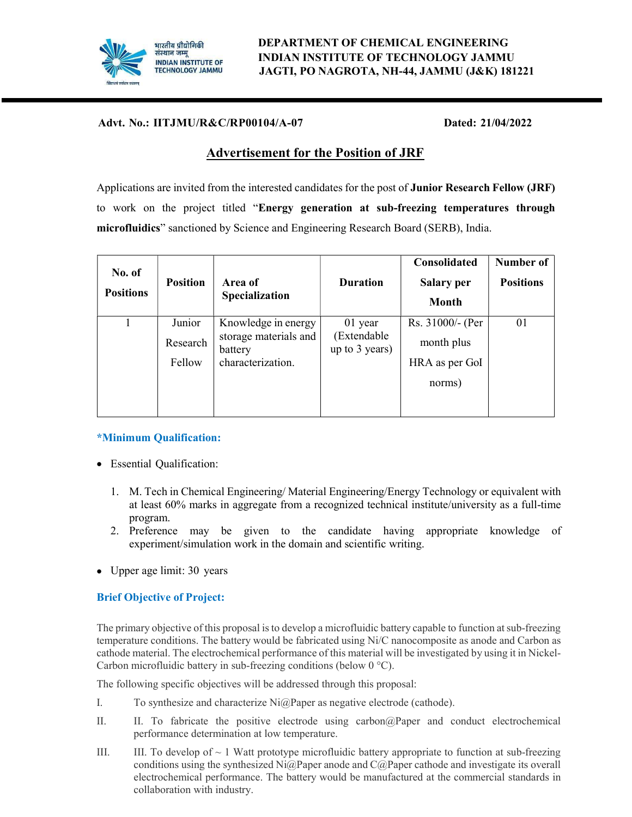

# भारतीय प्रौद्योगिकी DEPARTMENT OF CHEMICAL ENGINEERING INDIAN INSTITUTE OF TECHNOLOGY JAMMU JAGTI, PO NAGROTA, NH-44, JAMMU (J&K) 181221

# Advt. No.: IITJMU/R&C/RP00104/A-07 Dated: 21/04/2022

# Advertisement for the Position of JRF

Applications are invited from the interested candidates for the post of Junior Research Fellow (JRF) to work on the project titled "Energy generation at sub-freezing temperatures through microfluidics" sanctioned by Science and Engineering Research Board (SERB), India.

| No. of<br><b>Positions</b> | <b>Position</b>              | Area of<br>Specialization                                                    | <b>Duration</b>                            | Consolidated<br><b>Salary per</b><br><b>Month</b>          | Number of<br><b>Positions</b> |
|----------------------------|------------------------------|------------------------------------------------------------------------------|--------------------------------------------|------------------------------------------------------------|-------------------------------|
|                            | Junior<br>Research<br>Fellow | Knowledge in energy<br>storage materials and<br>battery<br>characterization. | 01 year<br>(Extendable<br>up to $3$ years) | Rs. 31000/- (Per<br>month plus<br>HRA as per GoI<br>norms) | 01                            |
|                            |                              |                                                                              |                                            |                                                            |                               |

#### \*Minimum Qualification:

- Essential Qualification:
	- 1. M. Tech in Chemical Engineering/ Material Engineering/Energy Technology or equivalent with at least 60% marks in aggregate from a recognized technical institute/university as a full-time program.
	- 2. Preference may be given to the candidate having appropriate knowledge of experiment/simulation work in the domain and scientific writing.
- Upper age limit: 30 years

#### Brief Objective of Project:

The primary objective of this proposal is to develop a microfluidic battery capable to function at sub-freezing temperature conditions. The battery would be fabricated using Ni/C nanocomposite as anode and Carbon as cathode material. The electrochemical performance of this material will be investigated by using it in Nickel-Carbon microfluidic battery in sub-freezing conditions (below 0 °C).

The following specific objectives will be addressed through this proposal:

- I. To synthesize and characterize Ni@Paper as negative electrode (cathode).
- II. II. To fabricate the positive electrode using carbon@Paper and conduct electrochemical performance determination at low temperature.
- III. III. To develop of  $\sim$  1 Watt prototype microfluidic battery appropriate to function at sub-freezing conditions using the synthesized  $Ni@Paper$  anode and  $C@Paper$  cathode and investigate its overall electrochemical performance. The battery would be manufactured at the commercial standards in collaboration with industry.